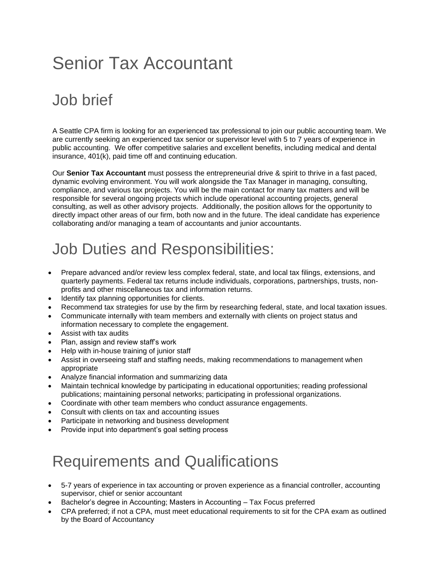# Senior Tax Accountant

### Job brief

A Seattle CPA firm is looking for an experienced tax professional to join our public accounting team. We are currently seeking an experienced tax senior or supervisor level with 5 to 7 years of experience in public accounting. We offer competitive salaries and excellent benefits, including medical and dental insurance, 401(k), paid time off and continuing education.

Our **Senior Tax Accountant** must possess the entrepreneurial drive & spirit to thrive in a fast paced, dynamic evolving environment. You will work alongside the Tax Manager in managing, consulting, compliance, and various tax projects. You will be the main contact for many tax matters and will be responsible for several ongoing projects which include operational accounting projects, general consulting, as well as other advisory projects. Additionally, the position allows for the opportunity to directly impact other areas of our firm, both now and in the future. The ideal candidate has experience collaborating and/or managing a team of [accountants](https://resources.workable.com/accountant-job-description) and [junior accountants.](https://resources.workable.com/junior-accountant-job-description)

#### Job Duties and Responsibilities:

- Prepare advanced and/or review less complex federal, state, and local tax filings, extensions, and quarterly payments. Federal tax returns include individuals, corporations, partnerships, trusts, nonprofits and other miscellaneous tax and information returns.
- Identify tax planning opportunities for clients.
- Recommend tax strategies for use by the firm by researching federal, state, and local taxation issues.
- Communicate internally with team members and externally with clients on project status and information necessary to complete the engagement.
- Assist with tax audits
- Plan, assign and review staff's work
- Help with in-house training of junior staff
- Assist in overseeing staff and staffing needs, making recommendations to management when appropriate
- Analyze financial information and summarizing data
- Maintain technical knowledge by participating in educational opportunities; reading professional publications; maintaining personal networks; participating in professional organizations.
- Coordinate with other team members who conduct assurance engagements.
- Consult with clients on tax and accounting issues
- Participate in networking and business development
- Provide input into department's goal setting process

## Requirements and Qualifications

- 5-7 years of experience in tax accounting or proven experience as a [financial controller,](https://resources.workable.com/financial-controller-job-description) [accounting](https://resources.workable.com/accounting-supervisor-job-description)  [supervisor,](https://resources.workable.com/accounting-supervisor-job-description) chief or senior accountant
- Bachelor's degree in Accounting; Masters in Accounting Tax Focus preferred
- CPA preferred; if not a CPA, must meet educational requirements to sit for the CPA exam as outlined by the Board of Accountancy